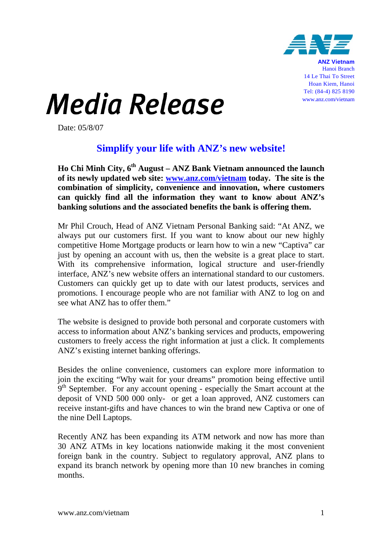

14 Le Thai To Street Hoan Kiem, Hanoi Tel: (84-4) 825 8190 www.anz.com/vietnam

## Media Release

Date: 05/8/07

## **Simplify your life with ANZ's new website!**

**Ho Chi Minh City, 6th August – ANZ Bank Vietnam announced the launch of its newly updated web site: www.anz.com/vietnam today. The site is the combination of simplicity, convenience and innovation, where customers can quickly find all the information they want to know about ANZ's banking solutions and the associated benefits the bank is offering them.** 

Mr Phil Crouch, Head of ANZ Vietnam Personal Banking said: "At ANZ, we always put our customers first. If you want to know about our new highly competitive Home Mortgage products or learn how to win a new "Captiva" car just by opening an account with us, then the website is a great place to start. With its comprehensive information, logical structure and user-friendly interface, ANZ's new website offers an international standard to our customers. Customers can quickly get up to date with our latest products, services and promotions. I encourage people who are not familiar with ANZ to log on and see what ANZ has to offer them."

The website is designed to provide both personal and corporate customers with access to information about ANZ's banking services and products, empowering customers to freely access the right information at just a click. It complements ANZ's existing internet banking offerings.

Besides the online convenience, customers can explore more information to join the exciting "Why wait for your dreams" promotion being effective until 9<sup>th</sup> September. For any account opening - especially the Smart account at the deposit of VND 500 000 only- or get a loan approved, ANZ customers can receive instant-gifts and have chances to win the brand new Captiva or one of the nine Dell Laptops.

Recently ANZ has been expanding its ATM network and now has more than 30 ANZ ATMs in key locations nationwide making it the most convenient foreign bank in the country. Subject to regulatory approval, ANZ plans to expand its branch network by opening more than 10 new branches in coming months.